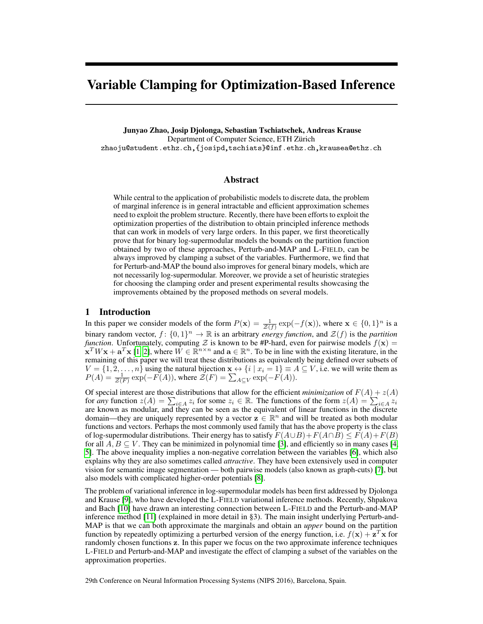# Variable Clamping for Optimization-Based Inference

Junyao Zhao, Josip Djolonga, Sebastian Tschiatschek, Andreas Krause Department of Computer Science, ETH Zürich zhaoju@student.ethz.ch,{josipd,tschiats}@inf.ethz.ch,krausea@ethz.ch

# Abstract

While central to the application of probabilistic models to discrete data, the problem of marginal inference is in general intractable and efficient approximation schemes need to exploit the problem structure. Recently, there have been efforts to exploit the optimization properties of the distribution to obtain principled inference methods that can work in models of very large orders. In this paper, we first theoretically prove that for binary log-supermodular models the bounds on the partition function obtained by two of these approaches, Perturb-and-MAP and L-FIELD, can be always improved by clamping a subset of the variables. Furthermore, we find that for Perturb-and-MAP the bound also improves for general binary models, which are not necessarily log-supermodular. Moreover, we provide a set of heuristic strategies for choosing the clamping order and present experimental results showcasing the improvements obtained by the proposed methods on several models.

### 1 Introduction

In this paper we consider models of the form  $P(x) = \frac{1}{\mathcal{Z}(f)} \exp(-f(x))$ , where  $x \in \{0, 1\}^n$  is a binary random vector,  $f: \{0,1\}^n \to \mathbb{R}$  is an arbitrary *energy function*, and  $\mathcal{Z}(f)$  is the *partition function*. Unfortunately, computing Z is known to be #P-hard, even for pairwise models  $f(\mathbf{x}) =$  $\mathbf{x}^T W \mathbf{x} + \mathbf{a}^T \mathbf{x}$  [\[1,](#page-4-0) [2\]](#page-4-1), where  $\hat{W} \in \mathbb{R}^{n \times n}$  and  $\mathbf{a} \in \mathbb{R}^n$ . To be in line with the existing literature, in the remaining of this paper we will treat these distributions as equivalently being defined over subsets of  $V = \{1, 2, \ldots, n\}$  using the natural bijection  $\mathbf{x} \leftrightarrow \{i \mid x_i = 1\} \equiv A \subseteq V$ , i.e. we will write them as  $P(A) = \frac{1}{\mathcal{Z}(F)} \exp(-F(A))$ , where  $\mathcal{Z}(F) = \sum_{A \subseteq V} \exp(-F(A)).$ 

Of special interest are those distributions that allow for the efficient *minimization* of  $F(A) + z(A)$ for *any* function  $z(A) = \sum_{i \in A} z_i$  for some  $z_i \in \mathbb{R}$ . The functions of the form  $z(A) = \sum_{i \in A} z_i$ are known as modular, and they can be seen as the equivalent of linear functions in the discrete domain—they are uniquely represented by a vector  $z \in \mathbb{R}^n$  and will be treated as both modular functions and vectors. Perhaps the most commonly used family that has the above property is the class of log-supermodular distributions. Their energy has to satisfy  $F(A \cup B) + F(A \cap B) \leq F(A) + F(B)$ for all  $A, B \subseteq V$ . They can be minimized in polynomial time [\[3\]](#page-4-2), and efficiently so in many cases [\[4,](#page-4-3) [5\]](#page-4-4). The above inequality implies a non-negative correlation between the variables [\[6\]](#page-4-5), which also explains why they are also sometimes called *attractive*. They have been extensively used in computer vision for semantic image segmentation — both pairwise models (also known as graph-cuts) [\[7\]](#page-4-6), but also models with complicated higher-order potentials [\[8\]](#page-4-7).

The problem of variational inference in log-supermodular models has been first addressed by Djolonga and Krause [\[9\]](#page-4-8), who have developed the L-FIELD variational inference methods. Recently, Shpakova and Bach [\[10\]](#page-4-9) have drawn an interesting connection between L-FIELD and the Perturb-and-MAP inference method [\[11\]](#page-4-10) (explained in more detail in §3). The main insight underlying Perturb-and-MAP is that we can both approximate the marginals and obtain an *upper* bound on the partition function by repeatedly optimizing a perturbed version of the energy function, i.e.  $f(\mathbf{x}) + \mathbf{z}^T \mathbf{x}$  for randomly chosen functions z. In this paper we focus on the two approximate inference techniques L-FIELD and Perturb-and-MAP and investigate the effect of clamping a subset of the variables on the approximation properties.

29th Conference on Neural Information Processing Systems (NIPS 2016), Barcelona, Spain.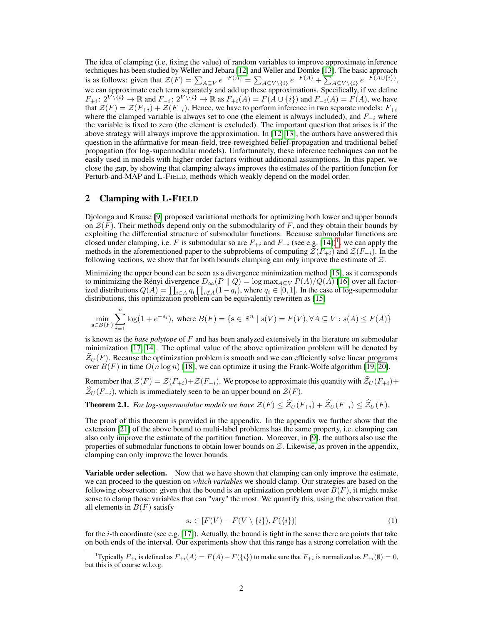The idea of clamping (i.e, fixing the value) of random variables to improve approximate inference techniques has been studied by Weller and Jebara [\[12\]](#page-4-11) and Weller and Domke [\[13\]](#page-4-12). The basic approach is as follows: given that  $\mathcal{Z}(F) = \sum_{A \subseteq V} e^{-F(A)} = \sum_{A \subseteq V \setminus \{i\}} e^{-F(A)} + \sum_{A \subseteq V \setminus \{i\}} e^{-F(A \cup \{i\})},$ we can approximate each term separately and add up these approximations. Specifically, if we define  $F_{+i}: 2^{V\setminus \{i\}} \to \mathbb{R}$  and  $F_{-i}: 2^{V\setminus \{i\}} \to \mathbb{R}$  as  $F_{+i}(A) = F(A \cup \{i\})$  and  $F_{-i}(A) = F(A)$ , we have that  $\mathcal{Z}(F) = \mathcal{Z}(F_{+i}) + \mathcal{Z}(F_{-i})$ . Hence, we have to perform inference in two separate models:  $F_{+i}$ where the clamped variable is always set to one (the element is always included), and  $F_{-i}$  where the variable is fixed to zero (the element is excluded). The important question that arises is if the above strategy will always improve the approximation. In [\[12,](#page-4-11) [13\]](#page-4-12), the authors have answered this question in the affirmative for mean-field, tree-reweighted belief-propagation and traditional belief propagation (for log-supermodular models). Unfortunately, these inference techniques can not be easily used in models with higher order factors without additional assumptions. In this paper, we close the gap, by showing that clamping always improves the estimates of the partition function for Perturb-and-MAP and L-FIELD, methods which weakly depend on the model order.

## 2 Clamping with L-FIELD

 $\boldsymbol{n}$ 

Djolonga and Krause [\[9\]](#page-4-8) proposed variational methods for optimizing both lower and upper bounds on  $\mathcal{Z}(F)$ . Their methods depend only on the submodularity of F, and they obtain their bounds by exploiting the differential structure of submodular functions. Because submodular functions are closed under clamping, i.e. F is submodular so are  $F_{+i}$  and  $F_{-i}$  (see e.g. [\[14\]](#page-4-13))<sup>[1](#page-1-0)</sup>. we can apply the methods in the aforementioned paper to the subproblems of computing  $\mathcal{Z}(F_{+i})$  and  $\mathcal{Z}(F_{-i})$ . In the following sections, we show that for both bounds clamping can only improve the estimate of  $Z$ .

Minimizing the upper bound can be seen as a divergence minimization method [\[15\]](#page-4-14), as it corresponds to minimizing the Rényi divergence  $D_{\infty}(P \parallel Q) = \log \max_{A \subseteq V} P(A)/Q(A)$  [\[16\]](#page-4-15) over all factorized distributions  $Q(A) = \prod_{i \in A} q_i \prod_{i \notin A} (1 - q_i)$ , where  $q_i \in [0, 1]$ . In the case of log-supermodular distributions, this optimization problem can be equivalently rewritten as [\[15\]](#page-4-14)

$$
\min_{\mathbf{s}\in B(F)} \sum_{i=1}^{N} \log(1+e^{-s_i}), \text{ where } B(F) = \{\mathbf{s}\in \mathbb{R}^n \mid s(V) = F(V), \forall A \subseteq V : s(A) \le F(A)\}
$$

is known as the *base polytope* of F and has been analyzed extensively in the literature on submodular minimization [\[17,](#page-4-16) [14\]](#page-4-13). The optimal value of the above optimization problem will be denoted by  $\mathcal{Z}_U(F)$ . Because the optimization problem is smooth and we can efficiently solve linear programs over  $B(F)$  in time  $O(n \log n)$  [\[18\]](#page-4-17), we can optimize it using the Frank-Wolfe algorithm [\[19,](#page-4-18) [20\]](#page-4-19).

Remember that  $\mathcal{Z}(F) = \mathcal{Z}(F_{+i}) + \mathcal{Z}(F_{-i})$ . We propose to approximate this quantity with  $\hat{\mathcal{Z}}_U(F_{+i})$ +  $\widehat{\mathcal{Z}}_U(F_{-i}),$  which is immediately seen to be an upper bound on  $\mathcal{Z}(F)$ .

**Theorem 2.1.** *For log-supermodular models we have*  $\mathcal{Z}(F) \leq \hat{\mathcal{Z}}_U(F_{+i}) + \hat{\mathcal{Z}}_U(F_{-i}) \leq \hat{\mathcal{Z}}_U(F)$ .

The proof of this theorem is provided in the appendix. In the appendix we further show that the extension [\[21\]](#page-4-20) of the above bound to multi-label problems has the same property, i.e. clamping can also only improve the estimate of the partition function. Moreover, in [\[9\]](#page-4-8), the authors also use the properties of submodular functions to obtain lower bounds on  $Z$ . Likewise, as proven in the appendix, clamping can only improve the lower bounds.

**Variable order selection.** Now that we have shown that clamping can only improve the estimate, we can proceed to the question on *which variables* we should clamp. Our strategies are based on the following observation: given that the bound is an optimization problem over  $B(F)$ , it might make sense to clamp those variables that can "vary" the most. We quantify this, using the observation that all elements in  $B(F)$  satisfy

$$
s_i \in [F(V) - F(V \setminus \{i\}), F(\{i\})]
$$
\n
$$
(1)
$$

for the i-th coordinate (see e.g. [\[17\]](#page-4-16)). Actually, the bound is tight in the sense there are points that take on both ends of the interval. Our experiments show that this range has a strong correlation with the

<span id="page-1-0"></span><sup>&</sup>lt;sup>1</sup>Typically  $F_{+i}$  is defined as  $F_{+i}(A) = F(A) - F({i})$  to make sure that  $F_{+i}$  is normalized as  $F_{+i}(\emptyset) = 0$ , but this is of course w.l.o.g.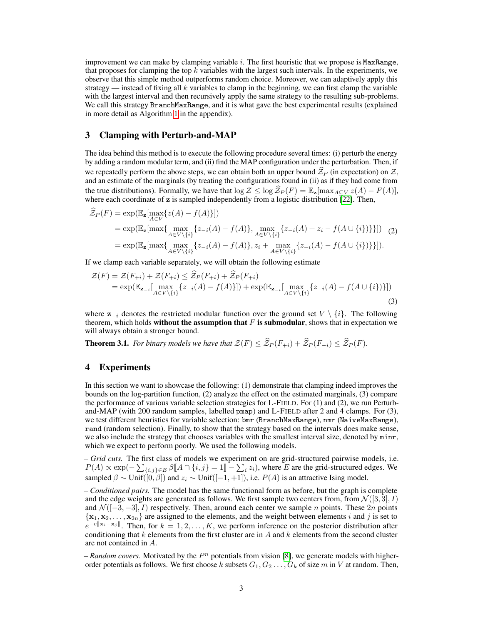improvement we can make by clamping variable  $i$ . The first heuristic that we propose is MaxRange, that proposes for clamping the top  $k$  variables with the largest such intervals. In the experiments, we observe that this simple method outperforms random choice. Moreover, we can adaptively apply this strategy — instead of fixing all k variables to clamp in the beginning, we can first clamp the variable with the largest interval and then recursively apply the same strategy to the resulting sub-problems. We call this strategy BranchMaxRange, and it is what gave the best experimental results (explained in more detail as Algorithm [1](#page-5-0) in the appendix).

#### 3 Clamping with Perturb-and-MAP

The idea behind this method is to execute the following procedure several times: (i) perturb the energy by adding a random modular term, and (ii) find the MAP configuration under the perturbation. Then, if we repeatedly perform the above steps, we can obtain both an upper bound  $\mathcal{Z}_P$  (in expectation) on  $\mathcal{Z}$ , and an estimate of the marginals (by treating the configurations found in (ii) as if they had come from the true distributions). Formally, we have that  $\log Z \leq \log \widehat{Z}_P(F) = \mathbb{E}_z[\max_{A \subset V} z(A) - F(A)],$ where each coordinate of  $z$  is sampled independently from a logistic distribution  $\overline{[22]}$  $\overline{[22]}$  $\overline{[22]}$ . Then,

$$
\widehat{Z}_P(F) = \exp(\mathbb{E}_{\mathbf{z}}[\max_{A \in V} \{z(A) - f(A)\}])
$$
\n
$$
= \exp(\mathbb{E}_{\mathbf{z}}[\max_{A \in V \setminus \{i\}} \{z_{-i}(A) - f(A)\}, \max_{A \in V \setminus \{i\}} \{z_{-i}(A) + z_i - f(A \cup \{i\})\}])
$$
\n
$$
= \exp(\mathbb{E}_{\mathbf{z}}[\max_{A \in V \setminus \{i\}} \{z_{-i}(A) - f(A)\}, z_i + \max_{A \in V \setminus \{i\}} \{z_{-i}(A) - f(A \cup \{i\})\}]).
$$
\n(2)

If we clamp each variable separately, we will obtain the following estimate

$$
\mathcal{Z}(F) = \mathcal{Z}(F_{+i}) + \mathcal{Z}(F_{+i}) \leq \mathcal{Z}_P(F_{+i}) + \mathcal{Z}_P(F_{+i})
$$
  
=  $\exp(\mathbb{E}_{\mathbf{z}_{-i}}[\max_{A \in V \setminus \{i\}} \{z_{-i}(A) - f(A)\}]) + \exp(\mathbb{E}_{\mathbf{z}_{-i}}[\max_{A \in V \setminus \{i\}} \{z_{-i}(A) - f(A \cup \{i\})\}])$  (3)

where  $z_{-i}$  denotes the restricted modular function over the ground set  $V \setminus \{i\}$ . The following theorem, which holds **without the assumption that**  $F$  is submodular, shows that in expectation we will always obtain a stronger bound.

<span id="page-2-0"></span>**Theorem 3.1.** *For binary models we have that*  $\mathcal{Z}(F) \leq \widehat{\mathcal{Z}}_P(F_{+i}) + \widehat{\mathcal{Z}}_P(F_{-i}) \leq \widehat{\mathcal{Z}}_P(F)$ *.* 

# 4 Experiments

In this section we want to showcase the following: (1) demonstrate that clamping indeed improves the bounds on the log-partition function, (2) analyze the effect on the estimated marginals, (3) compare the performance of various variable selection strategies for L-FIELD. For (1) and (2), we run Perturband-MAP (with 200 random samples, labelled pmap) and L-FIELD after 2 and 4 clamps. For (3), we test different heuristics for variable selection: bmr (BranchMaxRange), nmr (NaiveMaxRange), rand (random selection). Finally, to show that the strategy based on the intervals does make sense, we also include the strategy that chooses variables with the smallest interval size, denoted by minr, which we expect to perform poorly. We used the following models.

– *Grid cuts.* The first class of models we experiment on are grid-structured pairwise models, i.e.  $P(A) \propto \exp(-\sum_{\{i,j\} \in E} \beta \llbracket A \cap \{i,j\} = 1 \rrbracket - \sum_i z_i),$  where E are the grid-structured edges. We sampled  $\beta \sim \text{Unif}(\tilde{0}, \beta]$  and  $z_i \sim \text{Unif}([-1, +1])$ , i.e.  $P(A)$  is an attractive Ising model.

– *Conditioned pairs.* The model has the same functional form as before, but the graph is complete and the edge weights are generated as follows. We first sample two centers from, from  $\mathcal{N}([3,3], I)$ and  $\mathcal{N}([-3,-3], I)$  respectively. Then, around each center we sample *n* points. These  $2n$  points  ${x_1, x_2, \ldots, x_{2n}}$  are assigned to the elements, and the weight between elements i and j is set to  $e^{-c||\mathbf{x}_i - \mathbf{x}_j||}$ . Then, for  $k = 1, 2, ..., K$ , we perform inference on the posterior distribution after conditioning that k elements from the first cluster are in A and k elements from the second cluster are not contained in A.

 $-$  *Random covers.* Motivated by the  $P<sup>n</sup>$  potentials from vision [\[8\]](#page-4-7), we generate models with higherorder potentials as follows. We first choose k subsets  $G_1, G_2, \ldots, G_k$  of size m in V at random. Then,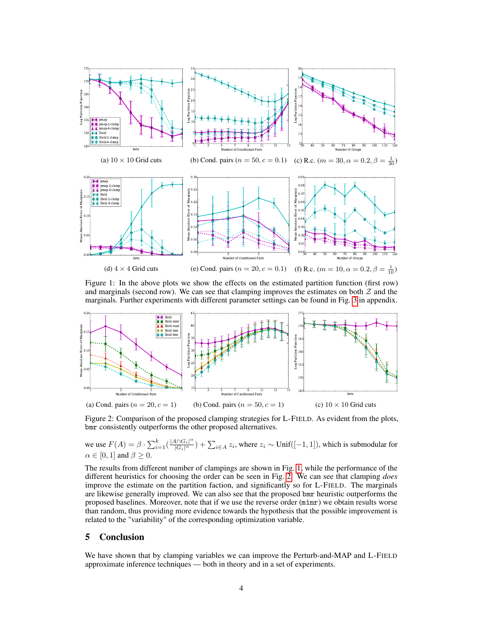<span id="page-3-0"></span>

Figure 1: In the above plots we show the effects on the estimated partition function (first row) and marginals (second row). We can see that clamping improves the estimates on both  $\mathcal Z$  and the marginals. Further experiments with different parameter settings can be found in Fig. [3](#page-9-0) in appendix.

<span id="page-3-1"></span>

Figure 2: Comparison of the proposed clamping strategies for L-FIELD. As evident from the plots, bmr consistently outperforms the other proposed alternatives.

we use  $F(A) = \beta \cdot \sum_{i=1}^{k} \left( \frac{|A \cap G_i|^{\alpha}}{|G_i|^{\alpha}} \right) + \sum_{i \in A} z_i$ , where  $z_i \sim \text{Unif}([-1, 1])$ , which is submodular for  $\alpha \in [0, 1]$  and  $\beta \geq 0$ .

The results from different number of clampings are shown in Fig. [1,](#page-3-0) while the performance of the different heuristics for choosing the order can be seen in Fig. [2.](#page-3-1) We can see that clamping *does* improve the estimate on the partition faction, and significantly so for L-FIELD. The marginals are likewise generally improved. We can also see that the proposed bmr heuristic outperforms the proposed baselines. Moreover, note that if we use the reverse order (minr) we obtain results worse than random, thus providing more evidence towards the hypothesis that the possible improvement is related to the "variability" of the corresponding optimization variable.

# 5 Conclusion

We have shown that by clamping variables we can improve the Perturb-and-MAP and L-FIELD approximate inference techniques — both in theory and in a set of experiments.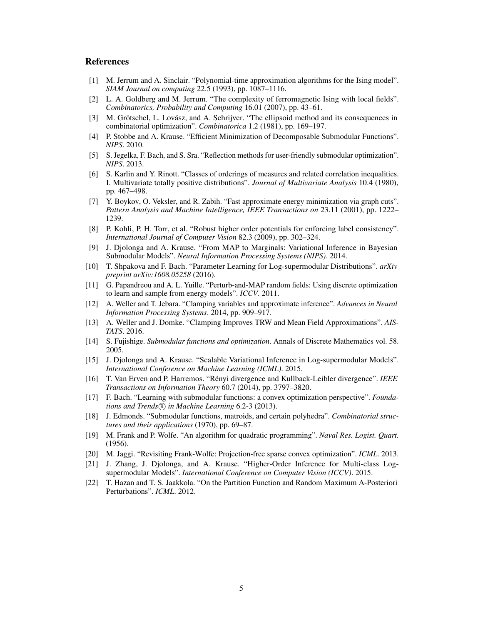# **References**

- <span id="page-4-0"></span>[1] M. Jerrum and A. Sinclair. "Polynomial-time approximation algorithms for the Ising model". *SIAM Journal on computing* 22.5 (1993), pp. 1087–1116.
- <span id="page-4-1"></span>[2] L. A. Goldberg and M. Jerrum. "The complexity of ferromagnetic Ising with local fields". *Combinatorics, Probability and Computing* 16.01 (2007), pp. 43–61.
- <span id="page-4-2"></span>[3] M. Grötschel, L. Lovász, and A. Schrijver. "The ellipsoid method and its consequences in combinatorial optimization". *Combinatorica* 1.2 (1981), pp. 169–197.
- <span id="page-4-3"></span>[4] P. Stobbe and A. Krause. "Efficient Minimization of Decomposable Submodular Functions". *NIPS*. 2010.
- <span id="page-4-4"></span>[5] S. Jegelka, F. Bach, and S. Sra. "Reflection methods for user-friendly submodular optimization". *NIPS*. 2013.
- <span id="page-4-5"></span>[6] S. Karlin and Y. Rinott. "Classes of orderings of measures and related correlation inequalities. I. Multivariate totally positive distributions". *Journal of Multivariate Analysis* 10.4 (1980), pp. 467–498.
- <span id="page-4-6"></span>[7] Y. Boykov, O. Veksler, and R. Zabih. "Fast approximate energy minimization via graph cuts". *Pattern Analysis and Machine Intelligence, IEEE Transactions on* 23.11 (2001), pp. 1222– 1239.
- <span id="page-4-7"></span>[8] P. Kohli, P. H. Torr, et al. "Robust higher order potentials for enforcing label consistency". *International Journal of Computer Vision* 82.3 (2009), pp. 302–324.
- <span id="page-4-8"></span>[9] J. Djolonga and A. Krause. "From MAP to Marginals: Variational Inference in Bayesian Submodular Models". *Neural Information Processing Systems (NIPS)*. 2014.
- <span id="page-4-9"></span>[10] T. Shpakova and F. Bach. "Parameter Learning for Log-supermodular Distributions". *arXiv preprint arXiv:1608.05258* (2016).
- <span id="page-4-10"></span>[11] G. Papandreou and A. L. Yuille. "Perturb-and-MAP random fields: Using discrete optimization to learn and sample from energy models". *ICCV*. 2011.
- <span id="page-4-11"></span>[12] A. Weller and T. Jebara. "Clamping variables and approximate inference". *Advances in Neural Information Processing Systems*. 2014, pp. 909–917.
- <span id="page-4-12"></span>[13] A. Weller and J. Domke. "Clamping Improves TRW and Mean Field Approximations". *AIS-TATS*. 2016.
- <span id="page-4-13"></span>[14] S. Fujishige. *Submodular functions and optimization*. Annals of Discrete Mathematics vol. 58. 2005.
- <span id="page-4-14"></span>[15] J. Djolonga and A. Krause. "Scalable Variational Inference in Log-supermodular Models". *International Conference on Machine Learning (ICML)*. 2015.
- <span id="page-4-15"></span>[16] T. Van Erven and P. Harremos. "Rényi divergence and Kullback-Leibler divergence". *IEEE Transactions on Information Theory* 60.7 (2014), pp. 3797–3820.
- <span id="page-4-16"></span>[17] F. Bach. "Learning with submodular functions: a convex optimization perspective". *Foundations and Trends* (*R*) *in Machine Learning* 6.2-3 (2013).
- <span id="page-4-17"></span>[18] J. Edmonds. "Submodular functions, matroids, and certain polyhedra". *Combinatorial structures and their applications* (1970), pp. 69–87.
- <span id="page-4-18"></span>[19] M. Frank and P. Wolfe. "An algorithm for quadratic programming". *Naval Res. Logist. Quart.* (1956).
- <span id="page-4-19"></span>[20] M. Jaggi. "Revisiting Frank-Wolfe: Projection-free sparse convex optimization". *ICML*. 2013.
- <span id="page-4-20"></span>[21] J. Zhang, J. Djolonga, and A. Krause. "Higher-Order Inference for Multi-class Logsupermodular Models". *International Conference on Computer Vision (ICCV)*. 2015.
- <span id="page-4-21"></span>[22] T. Hazan and T. S. Jaakkola. "On the Partition Function and Random Maximum A-Posteriori Perturbations". *ICML*. 2012.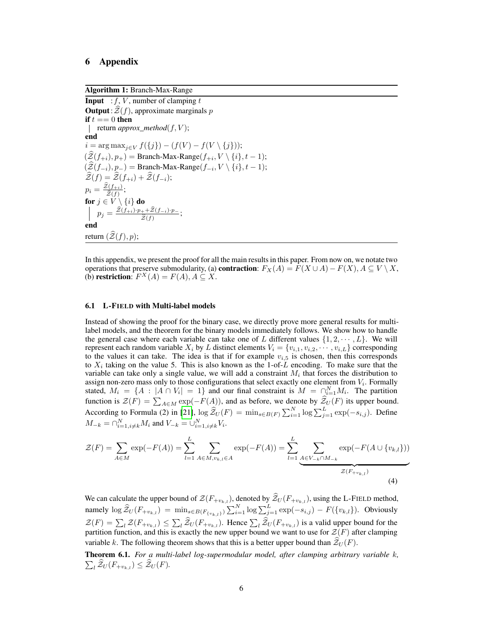# 6 Appendix

Algorithm 1: Branch-Max-Range

<span id="page-5-0"></span>**Input** :  $f$ ,  $V$ , number of clamping  $t$ **Output**:  $\mathcal{Z}(f)$ , approximate marginals p if  $t == 0$  then  $\vert$  return *approx\_method*( $f, V$ ); end  $i = \arg \max_{j \in V} f(\{j\}) - (f(V) - f(V \setminus \{j\}));$  $(\mathcal{Z}(f_{+i}), p_+) =$  Branch-Max-Range $(f_{+i}, V \setminus \{i\}, t - 1);$  $(\mathcal{Z}(f_{-i}), p_{-}) =$ Branch-Max-Range $(f_{-i}, V \setminus \{i\}, t - 1);$  $\mathcal{Z}(f) = \mathcal{Z}(f_{+i}) + \mathcal{Z}(f_{-i});$  $p_i = \frac{\widetilde{\mathcal{Z}}(f_{+i})}{\widehat{\mathcal{Z}}(f_i)}$  $\frac{\widehat{z}(J+i)}{\widehat{z}(f)}$ ; for  $j\in V\setminus\{i\}$  do  $p_j = \frac{\widetilde{\mathcal{Z}}(f_{+i})\cdot p_+ + \widetilde{\mathcal{Z}}(f_{-i})\cdot p_-}{\widehat{\mathcal{Z}}(f_+)}$  $\frac{a+2(J-i)\dot{p}_-}{\hat{z}(f)}$ ; end return  $(\widehat{\mathcal{Z}}(f), p)$ ;

In this appendix, we present the proof for all the main results in this paper. From now on, we notate two operations that preserve submodularity, (a) **contraction**:  $F_X(A) = F(X \cup A) - F(X)$ ,  $A \subseteq V \setminus X$ , (b) restriction:  $F^X(A) = F(A), A \subseteq X$ .

#### 6.1 L-FIELD with Multi-label models

Instead of showing the proof for the binary case, we directly prove more general results for multilabel models, and the theorem for the binary models immediately follows. We show how to handle the general case where each variable can take one of L different values  $\{1, 2, \dots, L\}$ . We will represent each random variable  $X_i$  by L distinct elements  $V_i = \{v_{i,1}, v_{i,2}, \dots, v_{i,L}\}$  corresponding to the values it can take. The idea is that if for example  $v_{i,5}$  is chosen, then this corresponds to  $X_i$  taking on the value 5. This is also known as the 1-of-L encoding. To make sure that the variable can take only a single value, we will add a constraint  $M_i$  that forces the distribution to assign non-zero mass only to those configurations that select exactly one element from  $V_i$ . Formally stated,  $M_i = \{A : |A \cap V_i| = 1\}$  and our final constraint is  $M = \bigcap_{i=1}^{N} M_i$ . The partition function is  $\mathcal{Z}(F) = \sum_{A \in M} \exp(-F(A))$ , and as before, we denote by  $\mathcal{Z}_U(F)$  its upper bound. According to Formula (2) in [\[21\]](#page-4-20),  $\log \widehat{Z}_U(F) = \min_{s \in B(F)} \sum_{i=1}^N \log \sum_{j=1}^L \exp(-s_{i,j})$ . Define  $M_{-k} = \bigcap_{i=1, i \neq k}^{N} M_i$  and  $V_{-k} = \bigcup_{i=1, i \neq k}^{N} V_i$ .

$$
\mathcal{Z}(F) = \sum_{A \in M} \exp(-F(A)) = \sum_{l=1}^{L} \sum_{A \in M, v_{k,l} \in A} \exp(-F(A)) = \sum_{l=1}^{L} \underbrace{\sum_{A \in V_{-k} \cap M_{-k}} \exp(-F(A \cup \{v_{k,l}\}))}_{\mathcal{Z}(F_{+v_{k,l}})}
$$
(4)

We can calculate the upper bound of  $\mathcal{Z}(F_{+v_{k,l}})$ , denoted by  $\mathcal{Z}_U(F_{+v_{k,l}})$ , using the L-FIELD method, namely  $\log \widehat{Z}_U(F_{+v_{k,l}}) = \min_{s \in B(F_{\{v_{k,l}\}})} \sum_{i=1}^N \log \sum_{j=1}^L \exp(-s_{i,j}) - F(\{v_{k,l}\})$ . Obviously  $\mathcal{Z}(F) = \sum_l \mathcal{Z}(F_{+v_{k,l}}) \leq \sum_l \mathcal{Z}_U(F_{+v_{k,l}})$ . Hence  $\sum_l \mathcal{Z}_U(F_{+v_{k,l}})$  is a valid upper bound for the partition function, and this is exactly the new upper bound we want to use for  $Z(F)$  after clamping variable k. The following theorem shows that this is a better upper bound than  $\mathcal{Z}_U(F)$ .

Theorem 6.1. *For a multi-label log-supermodular model, after clamping arbitrary variable* k*,*  $\sum_l \mathcal{Z}_U(F_{+v_{k,l}}) \leq \mathcal{Z}_U(F)$ .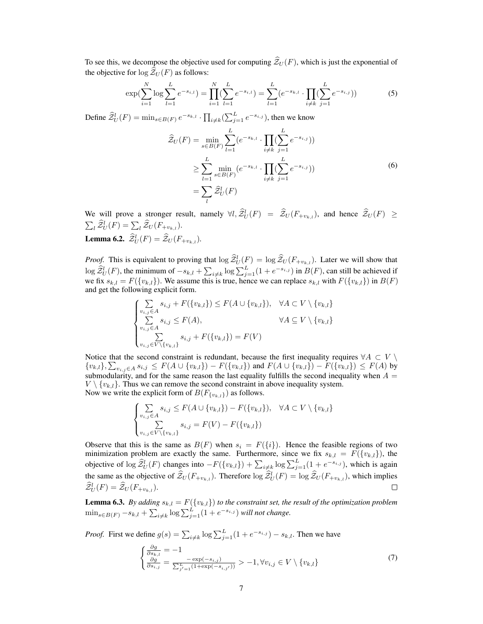To see this, we decompose the objective used for computing  $\hat{\mathcal{Z}}_U(F)$ , which is just the exponential of the objective for  $\log \mathcal{Z}_U(F)$  as follows:

$$
\exp(\sum_{i=1}^{N} \log \sum_{l=1}^{L} e^{-s_{i,l}}) = \prod_{i=1}^{N} (\sum_{l=1}^{L} e^{-s_{i,l}}) = \sum_{l=1}^{L} (e^{-s_{k,l}} \cdot \prod_{i \neq k} (\sum_{j=1}^{L} e^{-s_{i,j}}))
$$
(5)

Define  $\widehat{\mathcal{Z}}_U^l(F) = \min_{s \in B(F)} e^{-s_{k,l}} \cdot \prod_{i \neq k} (\sum_{j=1}^L e^{-s_{i,j}})$ , then we know

$$
\hat{Z}_U(F) = \min_{s \in B(F)} \sum_{l=1}^L (e^{-s_{k,l}} \cdot \prod_{i \neq k} (\sum_{j=1}^L e^{-s_{i,j}}))
$$
\n
$$
\geq \sum_{l=1}^L \min_{s \in B(F)} (e^{-s_{k,l}} \cdot \prod_{i \neq k} (\sum_{j=1}^L e^{-s_{i,j}}))
$$
\n
$$
= \sum_l \hat{Z}_U^l(F)
$$
\n(6)

We will prove a stronger result, namely  $\forall l, \hat{\mathcal{Z}}_U^l(F) = \hat{\mathcal{Z}}_U(F_{+v_{k,l}})$ , and hence  $\hat{\mathcal{Z}}_U(F) \geq$  $\sum_{l} \widehat{\mathcal{Z}}_{U}^{l}(F) = \sum_{l} \widehat{\mathcal{Z}}_{U}(F_{+v_{k,l}}).$ **Lemma 6.2.**  $\hat{\mathcal{Z}}_U^l(F) = \hat{\mathcal{Z}}_U(F_{+v_{k,l}})$ .

*Proof.* This is equivalent to proving that  $\log \hat{Z}_U^l(F) = \log \hat{Z}_U(F_{+v_{k,l}})$ . Later we will show that  $\log \widehat{\mathcal{Z}}_U^l(F)$ , the minimum of  $-s_{k,l} + \sum_{i \neq k} \log \sum_{j=1}^L (1 + e^{-s_{i,j}})$  in  $B(F)$ , can still be achieved if we fix  $s_{k,l} = F({v_{k,l}})$ . We assume this is true, hence we can replace  $s_{k,l}$  with  $F({v_{k,l}})$  in  $B(F)$ and get the following explicit form.

$$
\begin{cases}\n\sum_{v_{i,j}\in A} s_{i,j} + F(\{v_{k,l}\}) \le F(A \cup \{v_{k,l}\}), & \forall A \subset V \setminus \{v_{k,l}\} \\
\sum_{v_{i,j}\in A} s_{i,j} \le F(A), & \forall A \subseteq V \setminus \{v_{k,l}\} \\
\sum_{v_{i,j}\in V \setminus \{v_{k,l}\}} s_{i,j} + F(\{v_{k,l}\}) = F(V)\n\end{cases}
$$

Notice that the second constraint is redundant, because the first inequality requires  $\forall A \subset V \setminus \mathbb{R}$  $\{v_{k,l}\}, \sum_{v_{i,j}\in A} s_{i,j} \leq F(A \cup \{v_{k,l}\}) - F(\{v_{k,l}\})$  and  $F(A \cup \{v_{k,l}\}) - F(\{v_{k,l}\}) \leq F(A)$  by submodularity, and for the same reason the last equality fulfills the second inequality when  $A =$  $V \setminus \{v_{k,l}\}.$  Thus we can remove the second constraint in above inequality system. Now we write the explicit form of  $B(F_{\{v_{k,l}\}})$  as follows.

$$
\begin{cases} \sum_{v_{i,j} \in A} s_{i,j} \le F(A \cup \{v_{k,l}\}) - F(\{v_{k,l}\}), & \forall A \subset V \setminus \{v_{k,l}\} \\ \sum_{v_{i,j} \in V \setminus \{v_{k,l}\}} s_{i,j} = F(V) - F(\{v_{k,l}\}) \end{cases}
$$

Observe that this is the same as  $B(F)$  when  $s_i = F({i})$ . Hence the feasible regions of two minimization problem are exactly the same. Furthermore, since we fix  $s_{k,l} = F({v_{k,l}})$ , the objective of  $\log \widehat{Z}_U^l(F)$  changes into  $-F(\lbrace v_{k,l} \rbrace) + \sum_{i \neq k} \log \sum_{j=1}^L (1 + e^{-s_{i,j}})$ , which is again the same as the objective of  $\hat{Z}_U(F_{+v_{k,l}})$ . Therefore  $\log \hat{Z}_U^l(F) = \log \hat{Z}_U(F_{+v_{k,l}})$ , which implies  $\widehat{\mathcal{Z}}_U^l(F) = \widehat{\mathcal{Z}}_U(F_{+v_{k,l}}).$ 

**Lemma 6.3.** *By adding*  $s_{k,l} = F(\lbrace v_{k,l} \rbrace)$  *to the constraint set, the result of the optimization problem*  $\min_{s \in B(F)} -s_{k,l} + \sum_{i \neq k} \log \sum_{j=1}^{L} (1 + e^{-s_{i,j}})$  *will not change.* 

*Proof.* First we define  $g(s) = \sum_{i \neq k} \log \sum_{j=1}^{L} (1 + e^{-s_{i,j}}) - s_{k,l}$ . Then we have

$$
\begin{cases}\n\frac{\partial g}{\partial s_{k,l}} = -1 \\
\frac{\partial g}{\partial s_{i,j}} = \frac{-\exp(-s_{i,j})}{\sum_{j'=1}^{L} (1 + \exp(-s_{i,j'}))} > -1, \forall v_{i,j} \in V \setminus \{v_{k,l}\}\n\end{cases} \tag{7}
$$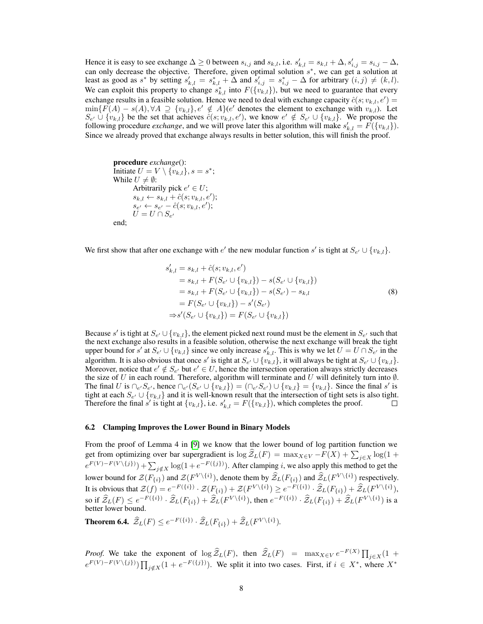Hence it is easy to see exchange  $\Delta \ge 0$  between  $s_{i,j}$  and  $s_{k,l}$ , i.e.  $s'_{k,l} = s_{k,l} + \Delta, s'_{i,j} = s_{i,j} - \Delta$ , can only decrease the objective. Therefore, given optimal solution  $s^*$ , we can get a solution at least as good as  $s^*$  by setting  $s'_{k,l} = s^*_{k,l} + \overline{\Delta}$  and  $s'_{i,j} = s^*_{i,j} - \Delta$  for arbitrary  $(i,j) \neq (k,l)$ . We can exploit this property to change  $s_{k,l}^*$  into  $F({v_{k,l}})$ , but we need to guarantee that every exchange results in a feasible solution. Hence we need to deal with exchange capacity  $\hat{c}(s; v_{k,l}, e') =$  $\min\{F(A) - s(A), \forall A \supseteq \{v_{k,l}\}, e' \notin A\}$  (e' denotes the element to exchange with  $v_{k,l}$ ). Let  $S_{e'} \cup \{v_{k,l}\}\$  be the set that achieves  $\hat{c}(s; v_{k,l}, e')$ , we know  $e' \notin S_{e'} \cup \{v_{k,l}\}\$ . We propose the following procedure *exchange*, and we will prove later this algorithm will make  $s'_{k,l} = F(\lbrace v_{k,l} \rbrace)$ . Since we already proved that exchange always results in better solution, this will finish the proof.

procedure *exchange*(): Initiate  $U = V \setminus {\tilde{v}_{k,l}}, s = s^*;$ While  $U \neq \emptyset$ : Arbitrarily pick  $e' \in U$ ;  $s_{k,l} \leftarrow s_{k,l} + \hat{c}(s; v_{k,l}, e');$  $s_{e'} \leftarrow s_{e'} - \hat{c}(s; v_{k,l}, e');$  $U = U \cap S_{e'}$ end;

We first show that after one exchange with  $e'$  the new modular function s' is tight at  $S_{e'} \cup \{v_{k,l}\}.$ 

$$
s'_{k,l} = s_{k,l} + \hat{c}(s; v_{k,l}, e')
$$
  
\n
$$
= s_{k,l} + F(S_{e'} \cup \{v_{k,l}\}) - s(S_{e'} \cup \{v_{k,l}\})
$$
  
\n
$$
= s_{k,l} + F(S_{e'} \cup \{v_{k,l}\}) - s(S_{e'}) - s_{k,l}
$$
  
\n
$$
= F(S_{e'} \cup \{v_{k,l}\}) - s'(S_{e'})
$$
  
\n
$$
\Rightarrow s'(S_{e'} \cup \{v_{k,l}\}) = F(S_{e'} \cup \{v_{k,l}\})
$$
\n(8)

Because s' is tight at  $S_{e'} \cup \{v_{k,l}\}\$ , the element picked next round must be the element in  $S_{e'}$  such that the next exchange also results in a feasible solution, otherwise the next exchange will break the tight upper bound for s' at  $S_{e'} \cup \{v_{k,l}\}\$  since we only increase  $s'_{k,l}$ . This is why we let  $U = U \cap S_{e'}$  in the algorithm. It is also obvious that once s' is tight at  $S_{e'} \cup \{v_{k,l}\}$ , it will always be tight at  $S_{e'} \cup \{v_{k,l}\}$ . Moreover, notice that  $e' \notin S_{e'}$  but  $e' \in U$ , hence the intersection operation always strictly decreases the size of U in each round. Therefore, algorithm will terminate and U will definitely turn into  $\emptyset$ . The final U is  $\bigcap_{e'}S_{e'}$ , hence  $\bigcap_{e'}(S_{e'} \cup \{v_{k,l}\}) = (\bigcap_{e'}S_{e'}) \cup \{v_{k,l}\} = \{v_{k,l}\}\.$  Since the final s' is tight at each  $S_{e'} \cup \{v_{k,l}\}\$  and it is well-known result that the intersection of tight sets is also tight. Therefore the final  $\vec{s}$  is tight at  $\{v_{k,l}\}\)$ , i.e.  $s'_{k,l} = F(\{v_{k,l}\})$ , which completes the proof.

#### 6.2 Clamping Improves the Lower Bound in Binary Models

From the proof of Lemma 4 in [\[9\]](#page-4-8) we know that the lower bound of log partition function we get from optimizing over bar supergradient is  $\log Z_L(F) = \max_{X \in V} -F(X) + \sum_{j \in X} \log(1 +$  $e^{F(V)-F(V\setminus\{j\})} + \sum_{j \notin X} \log(1+e^{-F(\{j\})})$ . After clamping *i*, we also apply this method to get the lower bound for  $\mathcal{Z}(F_{\{i\}})$  and  $\mathcal{Z}(F^{V\setminus\{i\}})$ , denote them by  $\widehat{\mathcal{Z}}_L(F_{\{i\}})$  and  $\widehat{\mathcal{Z}}_L(F^{V\setminus\{i\}})$  respectively. It is obvious that  $\mathcal{Z}(f) = e^{-F(\{i\})} \cdot \mathcal{Z}(F_{\{i\}}) + \mathcal{Z}(F^{V\setminus\{i\}}) \geq e^{-F(\{i\})} \cdot \mathcal{Z}_L(F_{\{i\}}) + \mathcal{Z}_L(F^{V\setminus\{i\}}),$ so if  $\widehat{Z}_L(F) \leq e^{-F(\{i\})} \cdot \widehat{Z}_L(F_{\{i\}}) + \widehat{Z}_L(F^{V \setminus \{i\}})$ , then  $e^{-F(\{i\})} \cdot \widehat{Z}_L(F_{\{i\}}) + \widehat{Z}_L(F^{V \setminus \{i\}})$  is a better lower bound.

**Theorem 6.4.**  $\widehat{Z}_L(F) \leq e^{-F(\{i\})} \cdot \widehat{Z}_L(F_{\{i\}}) + \widehat{Z}_L(F^{V\setminus\{i\}}).$ 

*Proof.* We take the exponent of  $\log \widehat{Z}_L(F)$ , then  $\widehat{Z}_L(F)$  =  $\max_{X \in V} e^{-F(X)} \prod_{j \in X} (1 +$  $e^{F(V)-F(V\setminus\{j\})}\prod_{j\notin X}(1+e^{-F(\{j\})}).$  We split it into two cases. First, if  $i \in X^*$ , where  $X^*$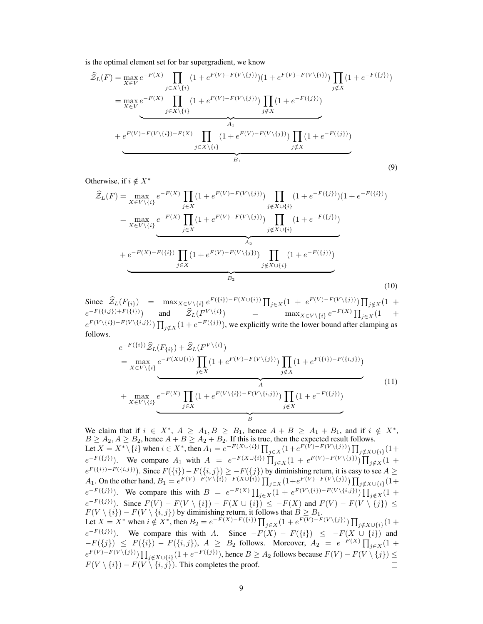is the optimal element set for bar supergradient, we know

$$
\hat{Z}_{L}(F) = \max_{X \in V} e^{-F(X)} \prod_{j \in X \setminus \{i\}} (1 + e^{F(V) - F(V \setminus \{j\})}) (1 + e^{F(V) - F(V \setminus \{i\})}) \prod_{j \notin X} (1 + e^{-F(\{j\})})
$$
\n
$$
= \max_{X \in V} e^{-F(X)} \prod_{j \in X \setminus \{i\}} (1 + e^{F(V) - F(V \setminus \{j\})}) \prod_{j \notin X} (1 + e^{-F(\{j\})})
$$
\n
$$
+ e^{F(V) - F(V \setminus \{i\}) - F(X)} \prod_{j \in X \setminus \{i\}} (1 + e^{F(V) - F(V \setminus \{j\})}) \prod_{j \notin X} (1 + e^{-F(\{j\})})
$$
\n
$$
B_1
$$
\n(9)

Otherwise, if  $i \notin X^*$ 

$$
\hat{Z}_{L}(F) = \max_{X \in V \setminus \{i\}} e^{-F(X)} \prod_{j \in X} (1 + e^{F(V) - F(V \setminus \{j\})}) \prod_{j \notin X \cup \{i\}} (1 + e^{-F(\{j\})}) (1 + e^{-F(\{i\})})
$$
\n
$$
= \max_{X \in V \setminus \{i\}} e^{-F(X)} \prod_{j \in X} (1 + e^{F(V) - F(V \setminus \{j\})}) \prod_{j \notin X \cup \{i\}} (1 + e^{-F(\{j\})})
$$
\n
$$
+ e^{-F(X) - F(\{i\})} \prod_{j \in X} (1 + e^{F(V) - F(V \setminus \{j\})}) \prod_{j \notin X \cup \{i\}} (1 + e^{-F(\{j\})})
$$
\n
$$
\underbrace{\prod_{j \in X} (1 + e^{F(V) - F(V \setminus \{j\})}) \prod_{j \notin X \cup \{i\}} (1 + e^{-F(\{j\})})}_{B_2}
$$
\n(10)

Since  $\hat{Z}_L(F_{\{i\}})$  =  $\max_{X \in V \setminus \{i\}} e^{F(\{i\})-F(X \cup \{i\})} \prod_{j \in X} (1 + e^{F(V)-F(V \setminus \{j\})}) \prod_{j \notin X} (1 +$  $e^{-F(\{i,j\})+F(\{i\})}$  and  $\hat{\mathcal{Z}}_L(F^{V\setminus\{i\}})$  = max $_{X\in V\setminus\{i\}}e^{-F(X)}\prod_{j\in X}(1 +$  $e^{F(V\setminus\{i\})-F(V\setminus\{i,j\})}\prod_{j\notin X}(1+e^{-F(\{j\})}),$  we explicitly write the lower bound after clamping as follows.

$$
e^{-F(\{i\})}\hat{Z}_{L}(F_{\{i\}}) + \hat{Z}_{L}(F^{V\setminus\{i\}})
$$
\n
$$
= \max_{X \in V\setminus\{i\}} e^{-F(X \cup \{i\})} \prod_{j \in X} (1 + e^{F(V) - F(V\setminus\{j\})}) \prod_{j \notin X} (1 + e^{F(\{i\}) - F(\{i,j\})})
$$
\n
$$
+ \max_{X \in V\setminus\{i\}} e^{-F(X)} \prod_{j \in X} (1 + e^{F(V\setminus\{i\}) - F(V\setminus\{i,j\})}) \prod_{j \notin X} (1 + e^{-F(\{j\})})
$$
\n(B)

We claim that if  $i \in X^*$ ,  $A \ge A_1, B \ge B_1$ , hence  $A + B \ge A_1 + B_1$ , and if  $i \notin X^*$ ,  $B \ge A_2, A \ge B_2$ , hence  $A + B \ge A_2 + B_2$ . If this is true, then the expected result follows. Let  $X = X^* \setminus \{i\}$  when  $i \in X^*$ , then  $A_1 = e^{-F(X \cup \{i\})} \prod_{j \in X} (1 + e^{F(V) - F(V \setminus \{j\})}) \prod_{j \notin X \cup \{i\}} (1 +$  $e^{-F(\{j\})}$ ). We compare  $A_1$  with  $A = e^{-F(X \cup \{i\})} \prod_{j \in X} (1 + e^{F(V) - F(V \setminus \{j\})}) \prod_{j \notin X} (1 + e^{F(V) - F(V \setminus \{j\})})$  $e^{F(\{i\})-F(\{i,j\})}$ ). Since  $F(\{i\})-F(\{i,j\}) \geq -F(\{j\})$  by diminishing return, it is easy to see  $A \geq$ A<sub>1</sub>. On the other hand,  $B_1 = e^{F(V) - F(V \setminus \{i\}) - F(X \cup \{i\})} \prod_{j \in X} (1 + e^{F(V) - F(V \setminus \{j\})}) \prod_{j \notin X \cup \{i\}} (1 + e^{F(V) - F(V \setminus \{j\})})$  $e^{-F(\lbrace j \rbrace)}$ ). We compare this with  $B = e^{-F(X)} \prod_{j \in X} (1 + e^{F(V \setminus \lbrace i,j \rbrace) - F(V \setminus \lbrace i,j \rbrace)}) \prod_{j \notin X} (1 + e^{-F(V \setminus \lbrace i,j \rbrace)})$  $e^{-F(\{j\})}$ . Since  $F(V) - F(V \setminus \{i\}) - F(X \cup \{i\}) \leq -F(X)$  and  $F(V) - F(V \setminus \{j\}) \leq$  $F(V \setminus \{i\}) - F(V \setminus \{i, j\})$  by diminishing return, it follows that  $B \ge B_1$ . Let  $X = X^*$  when  $i \notin X^*$ , then  $B_2 = e^{-F(X) - F(\{i\})} \prod_{j \in X} (1 + e^{F(V) - F(V \setminus \{j\})}) \prod_{j \notin X \cup \{i\}} (1 + e^{F(V) - F(V \setminus \{j\})})$  $e^{-F(\lbrace i \rbrace)})$ . We compare this with A. Since  $-F(X) - F(\lbrace i \rbrace) \leq -F(X \cup \lbrace i \rbrace)$  and  $-F(\{j\}) \leq F(\{i\}) - F(\{i,j\}), A \geq B_2$  follows. Moreover,  $A_2 = e^{-F(X)} \prod_{j \in X} (1 +$  $e^{F(V)-F(V\setminus\{j\})}\prod_{j\notin X\cup\{i\}}(1+e^{-F(\{j\})}),$  hence  $B\geq A_2$  follows because  $F(V)-F(V\setminus\{j\})\leq$  $F(V \setminus \{i\}) - F(V \setminus \{i, j\})$ . This completes the proof.  $\Box$